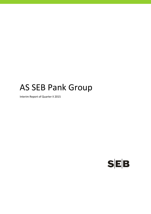# AS SEB Pank Group

Interim Report of Quarter II 2015

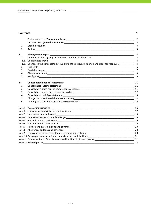#### **Contents** P.

|        | Statement of the Management Board Management Control of the Management Control of the Management Control of the Management Control of the Management Control of the Management Control of the Management Control of the Manage                | $\overline{2}$ |
|--------|-----------------------------------------------------------------------------------------------------------------------------------------------------------------------------------------------------------------------------------------------|----------------|
| ı.     |                                                                                                                                                                                                                                               | 3              |
| 1.     |                                                                                                                                                                                                                                               | 3              |
| 2.     |                                                                                                                                                                                                                                               | 3              |
| II.    | <b>Management Report</b>                                                                                                                                                                                                                      | 4              |
| 1.     | Credit institution's group as defined in Credit Institutions Law<br><u>Law and a manual continual continual continual</u>                                                                                                                     | $\overline{4}$ |
| 1.1.   | Consolidated group                                                                                                                                                                                                                            | $\overline{4}$ |
| 1.2.   | Changes in the consolidated group during the accounting period and plans for year 2015                                                                                                                                                        | $\overline{4}$ |
| 2.     | Highlights<br>,我们也不能在这里的人,我们也不能在这里的人,我们也不能在这里的人,我们也不能在这里的人,我们也不能在这里的人,我们也不能在这里的人,我们也不能在这里的人,我们                                                                                                                                                | 5              |
| 3.     |                                                                                                                                                                                                                                               | 7              |
| 4.     |                                                                                                                                                                                                                                               | 9              |
| 5.     |                                                                                                                                                                                                                                               | 9              |
| Ш.     |                                                                                                                                                                                                                                               | 11             |
| 1.     | Consolidated income statement                                                                                                                                                                                                                 | 11             |
| 2.     | Consolidated statement of comprehensive income entering the state of the state of the state of the state of the                                                                                                                               |                |
| 3.     |                                                                                                                                                                                                                                               |                |
| 4.     |                                                                                                                                                                                                                                               |                |
| 5.     |                                                                                                                                                                                                                                               | 14             |
| 6.     |                                                                                                                                                                                                                                               | 15             |
| Note 1 |                                                                                                                                                                                                                                               | - 16           |
| Note 2 |                                                                                                                                                                                                                                               |                |
| Note 3 |                                                                                                                                                                                                                                               | 19             |
| Note 4 | Interest expenses and similar charges<br><u> and the contract expenses</u> and similar charges<br><u>and the contract of the contract of the contract of the contract of the contract of the contract of the contract of the contract of </u> | 19             |
| Note 5 |                                                                                                                                                                                                                                               | 19             |
| Note 6 |                                                                                                                                                                                                                                               | 20             |
| Note 7 |                                                                                                                                                                                                                                               | 20             |
|        |                                                                                                                                                                                                                                               |                |
|        |                                                                                                                                                                                                                                               |                |
|        |                                                                                                                                                                                                                                               | 21             |
|        | Note 11 Concentration of financial assets and liabilities by industry sector_________________________________                                                                                                                                 | 22             |
|        | Note 12 Related parties and the state of the state of the state of the state of the state of the state of the state of the state of the state of the state of the state of the state of the state of the state of the state of                | 24             |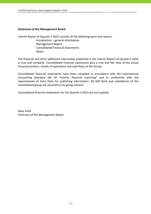#### **Statement of the Management Board**

Interim Report of Quarter II 2015 consists of the following parts and reports:

 Introduction – general information Management Report Consolidated Financial Statements Notes

The financial and other additional information published in the Interim Report of Quarter II 2015 is true and complete. Consolidated financial statements give a true and fair view of the actual financial position, results of operations and cash flows of the Group.

Consolidated financial statements have been compiled in accordance with the International Accounting Standard IAS 34 "Interim financial reporting" and in conformity with the requirements of Eesti Pank for publishing information. AS SEB Pank and subsidiaries of the consolidated group are assumed to be going concern.

Consolidated financial statements for the Quarter II 2015 are not audited.

Allan Parik Chairman of the Management Board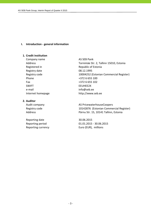#### **I. Introduction ‐ general information**

#### **1. Credit institution**

Company name AS SEB Pank Registry date 08.12.1995 Phone  $+3726655100$ Fax +372 6 655 102 SWIFT FUHET e-mail info@seb.ee

#### **2. Auditor**

Reporting date 30.06.2015

Address Tornimäe Str. 2, Tallinn 15010, Estonia Registered in Republic of Estonia Registry code 10004252 (Estonian Commercial Register) Internet homepage http://www.seb.ee

Audit company **AS PricewaterhouseCoopers** Registry code 10142876 (Estonian Commercial Register) Address **Pärnu Str. 15, 10141 Tallinn, Estonia** 

Reporting period 01.01.2015 ‐ 30.06.2015 Reporting currency **EUR** Euro (EUR), millions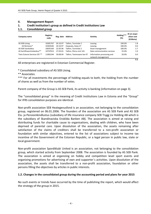#### **II. Management Report**

#### **1. Credit institution's group as defined in Credit Institutions Law**

#### **1.1. Consolidated group**

| Company name                 | Registry<br>code | Reg. date | <b>Address</b>            | <b>Activity</b>                                  | Holding***<br>(%) | At an acqui-<br>sition cost<br>(EURmio) |
|------------------------------|------------------|-----------|---------------------------|--------------------------------------------------|-------------------|-----------------------------------------|
| AS SEB Liising               | 10281767         | 03.10.97  | Tallinn, Tornimäe 2       | Leasing                                          | 100.0%            | 1.8                                     |
| AS Rentacar*                 | 10303546         | 20.10.97  | Haapsalu, Karja 27        | Leasing                                          | 100.0%            | 0.0                                     |
| <b>AS SEB Varahaldus</b>     | 10035169         | 22.05.96  | Tallinn, Tornimäe 2       | Asset management                                 | 100.0%            | 2.7                                     |
| AS Sertifitseerimiskeskus**  | 10747013         | 27.03.01  | Tallinn. Pärnu mnt 141    | Data communication services                      | 25.0%             | 1.0                                     |
| Tieto Estonia Services OÜ ** | 11065244         | 30.08.04  | Tallinn. Tammsaare tee 47 | Information processing and<br>network management | 20.0%             | 0.0                                     |
|                              |                  |           |                           |                                                  |                   | 5.5                                     |

All enterprises are registered in Estonian Commercial Register.

\* Consolidated subsidiary of AS SEB Liising.

\*\* Associates.

\*\*\* For all investments the percentage of holding equals to both, the holding from the number of shares as well as from the number of votes.

Parent company of the Group is AS SEB Pank, its activity is banking (information on page 3).

The "consolidated group" in the meaning of Credit Institutions Law in Estonia and the "Group" for IFRS consolidation purposes are identical.

Non‐profit association SEB Heategevusfond is an association, not belonging to the consolidation group, registered on 06.01.2006. The founders of the association are AS SEB Pank and AS SEB Elu‐ ja Pensionikindlustus (subsidiary of life insurance company SEB Trygg Liv Holding AB which is the subsidiary of Skandinaviska Enskilda Banken AB). The association is aimed at raising and distributing funds for charitable cause to organisations, dealing with children, who have been deprived of parental care. Upon dissolution of the association, the assets remaining after satisfaction of the claims of creditors shall be transferred to a non‐profit association or foundation with similar objectives, entered to the list of associations subject to income tax incentive of the Government of the Estonian Republic, or a legal person in public law, state or local government.

Non‐profit association Spordiklubi United is an association, not belonging to the consolidation group, which started activity from September 2008. The association is founded by AS SEB Pank. The association is aimed at organizing on hobby and competition level sport events and organizing promotions for advertising of own and supporter´s activities. Upon dissolution of the association, the assets shall be transferred to a non‐profit association, foundation or other persons filling the objectives by articles in public interests.

#### **1.2. Changes in the consolidated group during the accounting period and plans for year 2015**

No such events or trends have occurred by the time of publishing the report, which would affect the strategy of the group in 2015.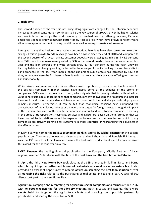#### **2. Highlights**

The second quarter of the year did not bring along significant changes for the Estonian economy. Increased internal consumption continues to be the key source of growth, driven by higher salaries and low inflation. Although the world economy is overshadowed by rather grim news, Estonian employers seem to enjoy somewhat better times. Real salaries, which have grown in recent years, allow once again betterment of living conditions as well as saving to create cash reserves.

I am glad to say that besides more active consumption, Estonians have also started to grow their savings. Positive growth trends in savings have been obvious since the end of 2010 and, compared to the second quarter of last year, private customer deposits were growing again in SEB, by 6.2 per cent. Also 35% more home loans were granted by SEB in the second quarter than in the same period last year and the loan portfolio of private persons grew by four per cent during the year. Likewise, banking habits are changing rapidly, reflected in the upsurge of mobile banking use and less visits to bank branches. In the past year, mobile phone use among SEB clientele has increased by 58% and thus, in June, we were the first bank in Estonia to introduce a mobile application offering full Internet bank functionality.

While private customers can enjoy times rather devoid of problems, there are no cloudless skies for the business community. Higher salaries have mainly come at the expense of the profits of companies. ROEs are on a downward trend, which signals that increasing salaries without added value is not sustainable. It can be seen that companies are shy of investing their resources to increase incomes in a situation where demand from other countries is low and the geopolitical prognosis remains insecure. Furthermore, it can be felt that geopolitical tensions have dampened the attractiveness of the Baltic economies as an investment target for foreign investors. Negative impacts of the Russian‐Ukrainian conflict can be seen to have materialised for Estonian companies, especially in the areas of transportation, hospitality services and agriculture. Based on the information that we have, normal trade relations cannot be expected to be restored in the near future, which is why companies are actively searching for customers in other countries or reorganising their business in the affected areas.

In May, SEB was named the **Best Subcustodian Bank** in Estonia by **Global Finance** for the second year in a row. The same title was also given to the Latvian, Lithuanian and Swedish SEB banks. It was the 13<sup>th</sup> time for Global Finance to name the best subcustodian banks and Estonia received this award for the second year in a row.

**EMEA Finance**, the leading financial publication in the European, Middle East and African regions, awarded SEB Estonia with the title of the **best bank** and the **best broker in Estonia.**

In April, the third **New Home Day** took place at the SEB branches in Tallinn, Tartu and Pärnu which brought together **sellers and buyers of real estate at a small‐scale real estate fair**. It also provided an excellent opportunity to **receive advice on selecting the best loan solution** as well as **managing the risks** related to the purchasing of real estate and taking a loan. A total of 300 clients took part in the New Home Day.

Agricultural campaign and retargeting for **agriculture sector companies and farmers** ended in Q2 with **76 people registering for the advisory meeting**. Both in Latvia and Estonia, there were **events** held for targeting the agriculture clients and showing them possible partnership possibilities and sharing the expertise of SEB.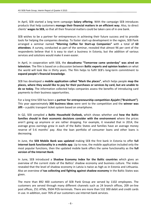In April, SEB started a long term campaign **Salary offering**. With the campaign SEB introduces products that help customers **manage their financial matters in an efficient way**. Also, to direct clients' **wages to SEB,** so that all their financial matters could be taken care of in one bank.

SEB wishes to be a partner for entrepreneurs in achieving their future success and to provide tools for helping the companies develop. To foster start‐up development in the region, SEB Pank arranged a seminar named **"Morning Coffee for Start‐up Companies"** with a total of **60 attendees**. A survey, conducted as part of the seminar, revealed that almost 96 per cent of the respondents believe that it is easy to start a business in Estonia, but the addition of various services and solutions would make it even easier.

In April, in cooperation with SEB, the **docudrama "Tomorrow came yesterday" was aired on television**. The film is based on a discussion between **Baltic experts and opinion leaders** on what the world will look like in thirty years. The film helps to fulfil SEB's long‐term commitment to **expand people's financial knowledge**.

SEB has developed a **mobile application called "Mark the places"**, which helps people **map the places, where they would like to pay for their purchases or services by card, but are unable to do so today.** The information collected helps companies assess the benefits of introducing card payments to their business opportunities.

For a long time SEB has been a **partner for entrepreneurship competition Ajujaht ("Brainhunt")**. This year approximately **300 business ideas** were sent to the competition and the **winner was Jiffi** – a public transport ticket system based on smartphone.

In Q2, SEB compiled a **Baltic Household Outlook,** which shows whether and **how the Baltic families should in their economic decisions consider with the environment** where the prices aren't going up anymore or are rather dropping. For example, it revealed that in 2014, the average gross earnings grew in each of the Baltic States and families have an average money reserve of 5‐6 months' pay. Also the loan portfolio of consumer loans and other loans is decreasing.

In June, the **SEB Mobile Bank was updated** making SEB the first bank in Estonia to offer **full internet bank functionality in a mobile app**. Up to now, the mobile application included only the most popular functions, then the updated mobile bank offers the same functionality as the **full version of the Internet Bank**.

In June, SEB introduced a **Shadow Economy Index for the Baltic countries** which gives an overview of the current state of the Baltics' shadow economy and business culture. The index revealed that the level of shadow economy in Latvia is twice as high as in Estonia and Lithuania. Also an overview of **tax collecting and fighting against shadow economy** in the Baltic States was given.

The more than 892 400 customers of SEB Pank Group are served by 1102 employees. The customers are served through many different channels such as 24 branch offices, 209 on‐line post offices, 251 ATMs, 9504 POS‐terminals. There are more than 532 300 debit and credit cards in use. In addition, over 76% of our customers use internet bank services.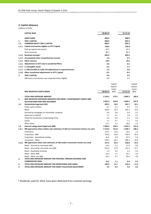#### **3. Capital adequacy**

(millions of EUR)

|        | <b>CAPITAL BASE</b>                                                    | 30.06.15 | 31.12.14 |
|--------|------------------------------------------------------------------------|----------|----------|
|        | <b>OWN FUNDS</b>                                                       | 840.9    | 848.8    |
| 1.     | <b>TIER 1 CAPITAL</b>                                                  | 840.9    | 843.3    |
| 1.1.   | <b>COMMON EQUITY TIER 1 CAPITAL</b>                                    | 840.9    | 843.3    |
| 1.1.1. | Capital instruments eligible as CET1 Capital                           | 128.8    | 128.8    |
|        | Paid up capital instruments                                            | 42.5     | 42.5     |
|        | Share premium                                                          | 86.3     | 86.3     |
|        | 1.1.2. Retained earnings*                                              | 695.9    | 695.9    |
|        | 1.1.3. Accumulated other comprehensive income                          | 1.0      | 0.7      |
|        | 1.1.4. Other reserves                                                  | 19.3     | 19.4     |
|        | 1.1.5. Adjustments to CET1 due to prudential filters                   | 0.0      | $-0.1$   |
|        | 1.1.6. (-) Intangible assets                                           | $-2.2$   | $-1.1$   |
|        | 1.1.7. (-) IRB shortfall of credit risk adjustments to expected losses | $-1.6$   | 0.0      |
| 1.1.8. | Other transitional adjustments to CET1 Capital                         | $-0.3$   | $-0.3$   |
| 2.     | <b>TIER 2 CAPITAL</b>                                                  | 0.0      | 5.5      |
|        | IRB Excess of provisions over expected losses eligible                 | 0.0      | 5.5      |

|      |                                                                                         |             | Capital  |             | Capital  |
|------|-----------------------------------------------------------------------------------------|-------------|----------|-------------|----------|
|      |                                                                                         |             | require- |             | require- |
|      |                                                                                         |             | ments    |             | ments    |
|      | RISK WEIGHTED ASSETS (RWA)                                                              | 30.06.15    | (8%)     | 31.12.14    | (8%)     |
|      | <b>TOTAL RISK EXPOSURE AMOUNT</b>                                                       | 2 193.3     | 175.5    | 2 005.5     | 160.4    |
| 1.   | RISK WEIGHTED EXPOSURE AMOUNTS FOR CREDIT, COUNTERPARTY CREDIT AND                      |             |          |             |          |
|      | <b>DILUTION RISKS AND FREE DELIVERIES</b>                                               | 2 0 3 5 . 4 | 162.8    | 1849.2      | 147.9    |
| 1.1. | Standardised approach (SA)                                                              | 205.2       | 16.4     | 201.7       | 16.1     |
|      | Public sector entities                                                                  | 0.7         | 0.1      | 0.7         | 0.1      |
|      | Retail                                                                                  | 169.0       | 13.5     | 163.1       | 13.0     |
|      | Secured by mortgages on immovable property                                              | 0.0         | 0.0      | 0.9         | 0.1      |
|      | Exposures in default                                                                    | 1.7         | 0.1      | 1.8         | 0.1      |
|      | Collective investments undertakings (CIU)                                               | 5.6         | 0.4      | 5.1         | 0.4      |
|      | Equity                                                                                  | 1.1         | 0.1      | 1.1         | 0.1      |
|      | Other items                                                                             | 27.1        | 2.2      | 29.0        | 2.3      |
| 1.2. | Internal ratings based Approach (IRB)                                                   | 1830.2      | 146.4    | 1647.5      | 131.8    |
|      | 1.2.1. IRB approaches when neither own estimates of LGD nor Conversion Factors are used | 1513.0      | 121.0    | 1 3 2 8 . 7 | 106.3    |
|      | Institutions                                                                            | 170.2       | 13.6     | 19.2        | 1.5      |
|      | Corporates - SME                                                                        | 743.0       | 59.4     | 744.0       | 59.5     |
|      | Corporates - Specialised Lending                                                        | 61.6        | 4.9      | 67.3        | 5.4      |
|      | Corporates - Other                                                                      | 538.2       | 43.1     | 498.2       | 39.9     |
|      | 1.2.2. IRB approaches when own estimates of LGD and/or Conversion Factors are used      | 317.2       | 25.4     | 318.8       | 25.5     |
|      | Retail - Secured by real estate SME                                                     | 14.5        | 1.2      | 11.6        | 0.9      |
|      | Retail - Secured by real estate non-SME                                                 | 223.4       | 17.9     | 221.3       | 17.7     |
|      | Retail - Qualifying revolving                                                           | 2.3         | 0.2      | 2.2         | 0.2      |
|      | Retail - Other SME                                                                      | 18.3        | 1.5      | 33.1        | 2.6      |
|      | Retail - Other non-SME                                                                  | 58.7        | 4.7      | 50.6        | 4.0      |
| 2.   | TOTAL RISK EXPOSURE AMOUNT FOR POSITION, FOREIGN EXCHANGE AND                           |             |          |             |          |
|      | <b>COMMODITIES RISKS</b>                                                                | 13.5        | 1.1      | 8.9         | 0.7      |
| З.   | TOTAL RISK EXPOSURE AMOUNT FOR OPERATIONAL RISK (AMA)                                   | 140.9       | 11.3     | 142.4       | 11.4     |
| 4.   | TOTAL RISK EXPOSURE AMOUNT FOR CREDIT VALUATION ADJUSTMENT                              | 3.5         | 0.3      | 5.0         | 0.4      |

\* Dividends, paid for 2014, have been deducted from retained earnings.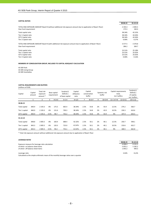#### **CAPITAL RATIOS**

|                                                                                                                                            | 30.06.15         | 31.12.14           |
|--------------------------------------------------------------------------------------------------------------------------------------------|------------------|--------------------|
| TOTAL RISK EXPOSURE AMOUNT Basel III (without additional risk exposure amount due to application of Basel I floor)<br>Own fund requirement | 2 193.3<br>175.5 | 2 0 0 5.5<br>160.4 |
| Total capital ratio                                                                                                                        | 38.34%           | 42.32%             |
| Tier 1 Capital ratio                                                                                                                       | 38.34%           | 42.04%             |
| CET1 Capital ratio                                                                                                                         | 38.34%           | 42.04%             |
| Tier 2 Capital ratio                                                                                                                       | 0.00%            | 0.27%              |
| TOTAL RISK EXPOSURE AMOUNT Basel III (with additional risk exposure amount due to application of Basel I floor)                            | 3 5 7 7 .5       | 3 3 7 0.8          |
| Own fund requirement                                                                                                                       | 286.2            | 269.7              |
| Total capital ratio                                                                                                                        | 23.51%           | 25.18%             |
| Tier 1 Capital ratio                                                                                                                       | 23.51%           | 25.02%             |
| CET1 Capital ratio                                                                                                                         | 23.51%           | 25.02%             |
| Tier 2 Capital ratio                                                                                                                       | 0.00%            | 0.16%              |

**MEMBERS OF CONSOLIDATION GROUP, INCLUDED TO CAPITAL ADEQUACY CALCULATION**

AS SEB Pank AS SEB Liising Group AS SEB Varahaldus

# **CAPITAL REQUIREMENTS AND BUFFERS**

(millions of EUR)

| Capital        | Capital<br>amount | Total risk<br>exposure<br>amount * |      | Base capital<br>requirement | $Surplus(+)$<br>Deficit(-)<br>of base capital | Capital<br>adeguacy<br>ratio |      | Capital<br>conservation<br>buffer |    | Systemic risk<br>buffer | Capital requirements<br>total,<br>incl. buffers |                    | $Surplus(+)$<br>Deficit(-)<br>of capital,<br>incl. buffers |
|----------------|-------------------|------------------------------------|------|-----------------------------|-----------------------------------------------|------------------------------|------|-----------------------------------|----|-------------------------|-------------------------------------------------|--------------------|------------------------------------------------------------|
|                |                   |                                    | 3    | $4=2\times3$                | $5 = 1 - 4$                                   | $6=1/2$                      |      | $8=2\times7$                      | 9  | $10 = 2 \times 9$       | $11 = 3 + 7 + 9$                                | $12 = 2 \times 11$ | $13 = 1 - 12$                                              |
| 30.06.15       |                   |                                    |      |                             |                                               |                              |      |                                   |    |                         |                                                 |                    |                                                            |
| Total capital  | 840.9             | 2 193.3                            | 8%   | 175.5                       | 665.4                                         | 38.34%                       | 2.5% | 54.8                              | 2% | 43.9                    | 12.5%                                           | 274.2              | 566.7                                                      |
| Tier 1 capital | 840.9             | 2 193.3                            | 6%   | 131.6                       | 709.3                                         | 38.34%                       | 2.5% | 54.8                              | 2% | 43.9                    | 10.5%                                           | 230.3              | 610.6                                                      |
| CET1 capital   | 840.9             | 2 193.3                            | 4.5% | 98.7                        | 742.2                                         | 38.34%                       | 2.5% | 54.8                              | 2% | 43.9                    | 9%                                              | 197.4              | 643.5                                                      |
| 31.12.14       |                   |                                    |      |                             |                                               |                              |      |                                   |    |                         |                                                 |                    |                                                            |
| Total capital  | 848.8             | 2 0 0 5.5                          | 8%   | 160.4                       | 688.4                                         | 42.32%                       | 2.5% | 50.1                              | 2% | 40.1                    | 12.5%                                           | 250.7              | 598.1                                                      |
| Tier 1 capital | 843.3             | 2 0 0 5.5                          | 6%   | 120.3                       | 723.0                                         | 42.04%                       | 2.5% | 50.1                              | 2% | 40.1                    | 10.5%                                           | 210.6              | 632.7                                                      |
| CET1 capital   | 843.3             | 2 0 0 5.5                          | 4.5% | 90.2                        | 753.1                                         | 42.04%                       | 2.5% | 50.1                              | 2% | 40.1                    | 9%                                              | 180.5              | 662.8                                                      |

\* Total risk exposure amount without additional risk exposure amount due to application of Basel I floor

| <b>LEVERAGE RATIO</b> |  |
|-----------------------|--|
|-----------------------|--|

| 30.06.15   | 31.12.14   |
|------------|------------|
| 6 0 98.4   | 6 1 3 1 .5 |
| 5 0 5 5 .2 | 5 182.2    |
| 1 0 4 3 .2 | 949.3      |
| 13.8%      | 13.2%      |
|            |            |

Calculated as the simple arithmetic mean of the monthly leverage ratios over a quarter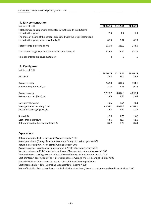#### **4. Risk concentration**

| (millions of EUR)                                                                                                       | 30.06.15 | 31.12.14 | 30.06.14 |
|-------------------------------------------------------------------------------------------------------------------------|----------|----------|----------|
| Total claims against persons associated with the credit institution's<br>consolidation group                            | 2.5      | 7.4      | 1.5      |
| The share of claims of the persons associated with the credit institution's<br>consolidation group in net own funds, %, | 0.29     | 0.87     | 0.20     |
| Total of large exposure claims                                                                                          | 325.0    | 283.0    | 274.6    |
| The share of large exposure claims in net own funds, %                                                                  | 38.66    | 33.34    | 35.33    |
| Number of large exposure customers                                                                                      | 4        | 5        |          |

**5. Key figures**

| (millions of EUR)                       |           |             |             |
|-----------------------------------------|-----------|-------------|-------------|
|                                         | 30.06.15  | 31.12.14    | 30.06.14    |
| Net profit                              | 37.8      | 79.4        | 38.6        |
| Average equity                          | 868.9     | 814.7       | 794.1       |
| Return on equity (ROE), %               | 8.70      | 9.75        | 9.72        |
| Average assets                          | 5 1 2 0.7 | 4 8 1 2.9   | 4 6 9 0.4   |
| Return on assets (ROA), %               | 1.48      | 1.65        | 1.65        |
| Net interest income                     | 40.6      | 86.4        | 43.0        |
| Average interest earning assets         | 4 9 9 4.2 | 4 6 8 7 . 8 | 4 5 6 4 . 1 |
| Net interest margin (NIM), %            | 1.63      | 1.84        | 1.88        |
| Spread, %                               | 1.58      | 1.78        | 1.82        |
| Cost / Income ratio, %                  | 43.6      | 41.7        | 42.6        |
| Ratio of individually impaired loans, % | 0.62      | 0.76        | 0.69        |

#### **Explanations**

Return on equity (ROE) = Net profit/Average equity \* 100 Average equity = (Equity of current year end + Equity of previous year end)/2 Return on assets (ROA) = Net profit/Average assets \* 100 Average assets = (Assets of current year end + Assets of previous year end)/2 Cost of interest bearing liabilities = Interest expenses/Average interest bearing liabilities \*100 Cost/Income Ratio = Total Operating Expenses/Total Income \* 100 Spread = Yield on interest earning assets ‐ Cost of interest bearing liabilities Ratio of individually impaired loans = Individually impaired loans/Loans to customers and credit institutions\* 100 Net interest margin (NIM) = Net interest income/Average interest earning assets \* 100 Yield on interest earning assets = Interest income/Average interest earning assets \*100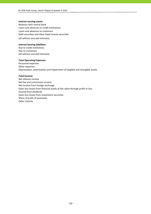#### **Interest earning assets:**

Balances with central bank Loans and advances to credit institutions Loans and advances to customers Debt securities and other fixed income securities

(all without accrued interests)

#### **Interest bearing liabilities:**

Due to credit institutions Due to customers (all without accrued interests)

#### **Total Operating Expenses:**

Personnel expenses Other expenses Depreciation, amortisation and impairment of tangible and intangible assets

#### **Total Income:**

Net interest income Net fee and commission income Net income from foreign exchange Gains less losses from financial assets at fair value through profit or loss Income from dividends Gains less losses from investment securities Share of profit of associates Other income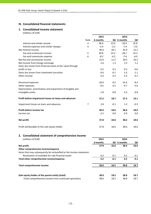# **III. Consolidated financial statements**

#### **1. Consolidated income statement** (millions of EUR)

|                                                               |                | 2015     |        | 2014         |        |
|---------------------------------------------------------------|----------------|----------|--------|--------------|--------|
|                                                               | <b>Note</b>    | 6 months |        | QII 6 months | QII    |
| Interest and similar income                                   | 3              | 46.0     | 22.6   | 50.4         | 25.8   |
| Interest expenses and similar charges                         | $\overline{4}$ | $-5.4$   | $-2.5$ | $-7.4$       | $-3.6$ |
| Net Interest Income                                           |                | 40.6     | 20.1   | 43.0         | 22.2   |
| Fee and commission income                                     | 5              | 30.8     | 15.5   | 28.1         | 14.3   |
| Fee and commission expense                                    | 6              | $-8.2$   | $-4.3$ | $-7.6$       | $-4.0$ |
| Net fee and commission income                                 |                | 22.6     | 11.2   | 20.5         | 10.3   |
| Net income from foreign exchange                              |                | 2.6      | 1.3    | 2.3          | 1.2    |
| Gains less losses from financial assets at fair value through |                |          |        |              |        |
| profit or loss                                                |                | 0.5      | 0.2    | 0.5          | 0.6    |
| Gains less losses from investment securities                  |                | $-0.6$   | $-0.1$ | $-1.6$       | $-1.1$ |
| Other income                                                  |                | 0.4      | 0.2    | 0.3          | 0.1    |
| Personnel expenses                                            |                | $-18.6$  | $-9.2$ | $-16.4$      | $-8.4$ |
| Other expenses                                                |                | $-8.5$   | $-4.2$ | $-9.7$       | $-5.0$ |
| Depreciation, amortisation and impairment of tangible and     |                |          |        |              |        |
| intangible assets                                             |                | $-1.8$   | $-0.8$ | $-1.6$       | $-0.8$ |
| Profit before impairment losses on loans and advances         |                | 37.2     | 18.7   | 37.3         | 19.1   |
| Impairment losses on loans and advances                       | $\overline{7}$ | 2.8      | $-0.1$ | 1.3          | $-0.5$ |
| Profit before income tax                                      |                | 40.0     | 18.6   | 38.6         | 18.6   |
| Income tax                                                    |                | $-2.2$   | 0.0    | 0.0          | 0.0    |
| Net profit                                                    |                | 37.8     | 18.6   | 38.6         | 18.6   |
| Profit attributable to the sole equity holder                 |                | 37.8     | 18.6   | 38.6         | 18.6   |
| 2. Consolidated statement of comprehensive income             |                |          |        |              |        |
| (millions of EUR)                                             |                | 2015     |        | 2014         |        |
|                                                               |                | 6 months |        | QII 6 months | QII    |
| Net profit                                                    |                | 37.8     | 18.6   | 38.6         | 18.6   |
| Other comprehensive income/expense                            |                |          |        |              |        |

Items that may subsequently be reclassified to the income statement:

| Revaluation of available-for-sale financial assets | 0.2  | $-0.1$ | 0.2  | 0.1  |
|----------------------------------------------------|------|--------|------|------|
| Total other comprehensive income/expense           | 0.2  | $-0.1$ | 0.2  | 0.1  |
| Total comprehensive income                         | 38.0 | 18.5   | 38.8 | 18.7 |
| Sole equity holder of the parent entity (total)    | 38.0 | 18.5   | 38.8 | 18.7 |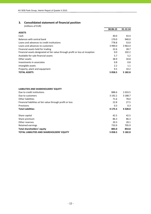# **3. Consolidated statement of financial position**

|                                                                               | 30.06.15  | 31.12.14    |
|-------------------------------------------------------------------------------|-----------|-------------|
| <b>ASSETS</b>                                                                 |           |             |
| Cash                                                                          | 40.0      | 43.4        |
| Balances with central bank                                                    | 170.0     | 940.0       |
| Loans and advances to credit institutions                                     | 778.8     | 53.0        |
| Loans and advances to customers                                               | 3 9 9 0.0 | 3 9 6 3 . 4 |
| Financial assets held for trading                                             | 22.6      | 28.7        |
| Financial assets designated at fair value through profit or loss at inception | 0.0       | 102.2       |
| Available-for-sale financial assets                                           | 5.7       | 5.2         |
| Other assets                                                                  | 38.9      | 34.8        |
| Investments in associates                                                     | 0.8       | 0.8         |
| Intangible assets                                                             | 2.2       | 1.1         |
| Property, plant and equipment                                                 | 9.5       | 10.2        |
| <b>TOTAL ASSETS</b>                                                           | 5058.5    | 5 1 8 2 . 8 |

| LIABILITIES AND SHAREHOLDERS' EQUITY                       |             |             |
|------------------------------------------------------------|-------------|-------------|
| Due to credit institutions                                 | 888.6       | 1 0 3 3 .5  |
| Due to customers                                           | 3 1 9 2 . 2 | 3 188.7     |
| <b>Other liabilities</b>                                   | 71.6        | 78.0        |
| Financial liabilities at fair value through profit or loss | 22.8        | 27.5        |
| Provisions                                                 | 0.3         | 0.3         |
| <b>Total Liabilities</b>                                   | 4 1 7 5 . 5 | 4 3 2 8 .0  |
|                                                            |             |             |
| Share capital                                              | 42.5        | 42.5        |
| Share premium                                              | 86.3        | 86.3        |
| Other reserves                                             | 20.3        | 20.1        |
| Retained earnings                                          | 733.9       | 705.9       |
| Total shareholders' equity                                 | 883.0       | 854.8       |
| <b>TOTAL LIABILITIES AND SHAREHOLDERS' EQUITY</b>          | 5 0 5 8.5   | 5 1 8 2 . 8 |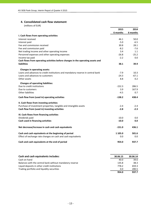# **4. Consolidated cash flow statement**

|                                                                                 | 2015        | 2014     |
|---------------------------------------------------------------------------------|-------------|----------|
|                                                                                 | 6 months    | 6 months |
| I. Cash flows from operating activities                                         |             |          |
| Interest received                                                               | 46.1        | 50.0     |
| Interest paid                                                                   | $-5.0$      | $-6.5$   |
| Fee and commission received                                                     | 30.8        | 28.1     |
| Fee and commission paid                                                         | $-8.2$      | $-7.6$   |
| Net trading income and other operating income                                   | 3.4         | 1.1      |
| Personnel expenses and other operating expenses                                 | $-26.8$     | $-25.2$  |
| Income tax paid                                                                 | $-2.2$      | 0.0      |
| Cash flows from operating activities before changes in the operating assets and |             |          |
| <b>liabilities</b>                                                              | 38.1        | 39.9     |
| Changes in operating assets:                                                    |             |          |
| Loans and advances to credit institutions and mandatory reserve in central bank | $-7.9$      | 10.3     |
| Loans and advances to customers                                                 | $-24.3$     | $-67.1$  |
| Other assets                                                                    | 8.8         | 0.2      |
| <b>Changes of operating liabilities:</b>                                        |             |          |
| Due to credit institutions                                                      | $-152.3$    | 286.5    |
| Due to customers                                                                | 3.9         | 167.9    |
| <b>Other liabilities</b>                                                        | $-4.5$      | 0.7      |
| Cash flow from (used in) operating activities                                   | $-138.2$    | 438.4    |
| II. Cash flows from investing activities                                        |             |          |
| Purchase of investment properties, tangible and intangible assets               | $-2.4$      | $-2.4$   |
| Cash flow from (used in) investing activities                                   | $-2.8$      | $-2.3$   |
| III. Cash flows from financing activities                                       |             |          |
| Dividends paid                                                                  | $-10.0$     | 0.0      |
| Cash used in financing activities                                               | $-10.0$     | 0.0      |
| Net decrease/increase in cash and cash equivalents                              | $-151.0$    | 436.1    |
| Cash and cash equivalents at the beginning of period                            | 1 1 0 5 . 0 | 501.6    |
| Effect of exchange rate changes on cash and cash equivalents                    | 0.0         | 0.0      |
| Cash and cash equivalents at the end of period                                  | 954.0       | 937.7    |

| Cash and cash equivalents includes:                      | 30.06.15 | 30.06.14 |
|----------------------------------------------------------|----------|----------|
| Cash on hand                                             | 40.0     | 39.6     |
| Balances with the central bank without mandatory reserve | 135.8    | 38.3     |
| Liquid deposits in other credit institutions             | 778.2    | 659.3    |
| Trading portfolio and liquidity securities               | 0.0      | 200.5    |
|                                                          | 954.0    | 937.7    |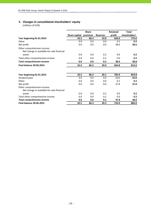# **5. Changes in consolidated shareholders' equity**

|                                                                           |               | <b>Share</b> |                 | <b>Retained</b> | <b>Total</b>  |
|---------------------------------------------------------------------------|---------------|--------------|-----------------|-----------------|---------------|
|                                                                           | Share capital | premium      | <b>Reserves</b> | profit          | shareholders' |
| Year beginning 01.01.2014                                                 | 42.5          | 86.3         | 19.8            | 626.0           | 774.6         |
| Other                                                                     | 0.0           | 0.0          | 0.0             | 0.2             | 0.2           |
| Net profit                                                                | 0.0           | 0.0          | 0.0             | 38.6            | 38.6          |
| Other comprehensive income:<br>Net change in available-for-sale financial |               |              |                 |                 |               |
| assets                                                                    | 0.0           | 0.0          | 0.2             | 0.0             | 0.2           |
| Total other comprehensive income                                          | 0.0           | 0.0          | 0.2             | 0.0             | 0.2           |
| <b>Total comprehensive income</b>                                         | 0.0           | 0.0          | 0.2             | 38.6            | 38.8          |
| <b>Final balance 30.06.2014</b>                                           | 42.5          | 86.3         | 20.0            | 664.8           | 813.6         |
| Year beginning 01.01.2015                                                 | 42.5          | 86.3         | 20.1            | 705.9           | 854.8         |
| Dividend paid                                                             | 0.0           | 0.0          | 0.0             | $-10.0$         | $-10.0$       |
| Other                                                                     | 0.0           | 0.0          | 0.0             | 0.2             | 0.2           |
| Net profit                                                                | 0.0           | 0.0          | 0.0             | 37.8            | 37.8          |
| Other comprehensive income:<br>Net change in available-for-sale financial |               |              |                 |                 |               |
| assets                                                                    | 0.0           | 0.0          | 0.2             | 0.0             | 0.2           |
| Total other comprehensive income                                          | 0.0           | 0.0          | 0.2             | 0.0             | 0.2           |
| <b>Total comprehensive income</b>                                         | 0.0           | 0.0          | 0.2             | 37.8            | 38.0          |
| <b>Final balance 30.06.2015</b>                                           | 42.5          | 86.3         | 20.3            | 733.9           | 883.0         |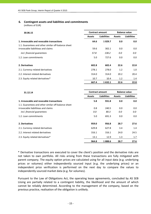#### **6. Contingent assets and liabilities and commitments**

(millions of EUR)

| 30.06.15                                            |               | <b>Contract amount</b> | <b>Balance value</b> |                    |  |
|-----------------------------------------------------|---------------|------------------------|----------------------|--------------------|--|
|                                                     | <b>Assets</b> | <b>Liabilities</b>     | <b>Assets</b>        | <b>Liabilities</b> |  |
| 1. Irrevocable and revocable transactions           | 64.6          | 1029.7                 | 0.0                  | 0.0                |  |
| 1.1. Guarantees and other similar off-balance sheet |               |                        |                      |                    |  |
| irrovocable liabilitieas and claims                 | 59.6          | 302.1                  | 0.0                  | 0.0                |  |
| incl. financial guarantees                          | 57.8          | 138.2                  | 0.0                  | 0.0                |  |
| 1.2. Loan commitments                               | 5.0           | 727.6                  | 0.0                  | 0.0                |  |
| 2. Derivatives                                      | 602.8         | 602.4                  | 22.6                 | 22.8               |  |
| 2.1. Currency related derivatives                   | 278.1         | 278.0                  | 1.2                  | 1.0                |  |
| 2.2. Interest related derivatives                   | 314.0         | 314.0                  | 20.2                 | 20.4               |  |
| 2.3. Equity related derivatives*                    | 10.7          | 10.4                   | 1.2 <sub>2</sub>     | 1.4                |  |
|                                                     | 667.4         | 1632.1                 | 22.6                 | 22.8               |  |

| 31.12.14                                            | <b>Contract amount</b> |                    |               | <b>Balance value</b> |  |
|-----------------------------------------------------|------------------------|--------------------|---------------|----------------------|--|
|                                                     | <b>Assets</b>          | <b>Liabilities</b> | <b>Assets</b> | <b>Liabilities</b>   |  |
| 1. Irrevocable and revocable transactions           | 5.8                    | 931.8              | 0.0           | 0.0                  |  |
| 1.1. Guarantees and other similar off-balance sheet |                        |                    |               |                      |  |
| irrovocable liabilitieas and claims                 | 0.8                    | 240.5              | 0.0           | 0.0                  |  |
| incl. financial quarantees                          | 0.0                    | 80.3               | 0.0           | 0.0                  |  |
| 1.2. Loan commitments                               | 5.0                    | 691.3              | 0.0           | 0.0                  |  |
| 2. Derivatives                                      | 959.0                  | 956.8              | 28.7          | 27.6                 |  |
| 2.1. Currency related derivatives                   | 629.8                  | 627.8              | 3.4           | 1.4                  |  |
| 2.2. Interest related derivatives                   | 316.1                  | 316.1              | 24.0          | 24.5                 |  |
| 2.3. Equity related derivatives*                    | 13.1                   | 12.9               | 1.3           | 1.7                  |  |
|                                                     | 964.8                  | 1888.6             | 28.7          | 27.6                 |  |

\* Derivative transactions are executed to cover the client's position and the derivative risks are not taken to own portfolio. All risks arising from these transactions are fully mitigated with parent company. The equity option prices are calculated using for all input data (e.g. underlying prices or volumes) either independently sourced input (e.g. the underlying prices) or an independent price verification is performed on the next day to compare the values to independently sourced market data (e.g. for volumes).

Pursuant to the Law of Obligations Act, the operating lease agreements, concluded by AS SEB Liising are partially related to a contingent liability, the likelihood and the amount of which cannot be reliably determined. According to the management of the company, based on the previous practice, realisation of the obligation is unlikely.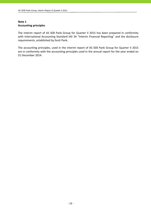# **Note 1 Accounting principles**

The interim report of AS SEB Pank Group for Quarter II 2015 has been prepared in conformity with International Accounting Standard IAS 34 "Interim Financial Reporting" and the disclosure requirements, established by Eesti Pank.

The accounting principles, used in the interim report of AS SEB Pank Group for Quarter II 2015 are in conformity with the accounting principles used in the annual report for the year ended on 31 December 2014.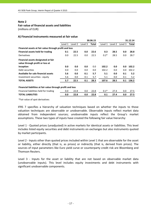# **Fair value of financial assets and liabilities**

(millions of EUR)

#### **A) Financial instruments measured at fair value**

|                                                                        | 30.06.15 |         |         |       |         | 31.12.14 |         |       |
|------------------------------------------------------------------------|----------|---------|---------|-------|---------|----------|---------|-------|
|                                                                        | Level 1  | Level 2 | Level 3 | Total | Level 1 | Level 2  | Level 3 | Total |
| Financial assets at fair value through profit and loss                 |          |         |         |       |         |          |         |       |
| <b>Financial assets held for trading</b>                               | 0.1      | 22.5    | 0.0     | 22.6  | 0.3     | 28.5     | 0.0     | 28.8  |
| Derivatives                                                            | 0.0      | 22.5    | 0.0     | 22.5  | $0.2*$  | 28.5     | 0.0     | 28.7  |
| Financial assets designated at fair<br>value through profit or loss at |          |         |         |       |         |          |         |       |
| inception                                                              | 0.0      | 0.0     | 0.0     | 0.0   | 102.2   | 0.0      | 0.0     | 102.2 |
| Debt securities                                                        | 0.0      | 0.0     | 0.0     | 0.0   | 102.2   | 0.0      | 0.0     | 102.2 |
| Available for sale financial assets                                    | 5.6      | 0.0     | 0.1     | 5.7   | 5.1     | 0.0      | 0.1     | 5.2   |
| Investment securities - equity                                         | 5.6      | 0.0     | 0.1     | 5.7   | 5.1     | 0.0      | 0.1     | 5.2   |
| <b>TOTAL ASSETS</b>                                                    | 5.7      | 22.5    | 0.1     | 28.3  | 107.6   | 28.5     | 0.1     | 136.2 |
| Financial liabilities at fair value through profit and loss            |          |         |         |       |         |          |         |       |
| Financial liabilities held for trading                                 | 0.0      | 22.8    | 0.0     | 22.8  | $0.1*$  | 27.4     | 0.0     | 27.5  |
| <b>TOTAL LIABILITIES</b>                                               | 0.0      | 22.8    | 0.0     | 22.8  | 0.1     | 27.4     | 0.0     | 27.5  |

\*Fair value of spot derivatives

IFRS 7 specifies a hierarchy of valuation techniques based on whether the inputs to those valuation techniques are observable or unobservable. Observable inputs reflect market data obtained from independent sources; unobservable inputs reflect the Group's market assumptions. These two types of inputs have created the following fair value hierarchy:

Level 1 ‐ Quoted prices (unadjusted) in active markets for identical assets or liabilities. This level includes listed equity securities and debt instruments on exchanges but also instruments quoted by market participants.

Level 2 - Inputs other than quoted prices included within Level 1 that are observable for the asset or liability, either directly (that is, as prices) or indirectly (that is, derived from prices). The sources of input parameters like Euro yield curve or counterparty credit risk are Bloomberg and Thomson Reuters.

Level 3 - Inputs for the asset or liability that are not based on observable market data (unobservable inputs). This level includes equity investments and debt instruments with significant unobservable components.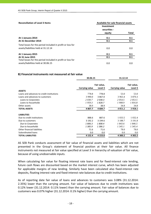| <b>Reconciliation of Level 3 Items</b>                     | Available-for-sale financial assets |       |  |  |
|------------------------------------------------------------|-------------------------------------|-------|--|--|
|                                                            | Investment                          |       |  |  |
|                                                            | securities -                        |       |  |  |
|                                                            | equity                              | Total |  |  |
| At 1 January 2014                                          | 0.1                                 | 0.1   |  |  |
| At 31 December 2014                                        | 0.1                                 | 0.1   |  |  |
| Total losses for the period included in profit or loss for |                                     |       |  |  |
| assets/liabilities held at 31.12.14                        | 0.0                                 | 0.0   |  |  |
| At 1 January 2015                                          | 0.1                                 | 0.1   |  |  |
| At 31 June 2015                                            | 0.1                                 | 0.1   |  |  |
| Total losses for the period included in profit or loss for |                                     |       |  |  |
| assets/liabilities held at 30.06.15                        | 0.0                                 | 0.0   |  |  |

#### **B) Financial instruments not measured at fair value**

|                                           | 30.06.15       |             | 31.12.14       |             |  |
|-------------------------------------------|----------------|-------------|----------------|-------------|--|
|                                           | Fair value,    |             |                | Fair value, |  |
|                                           | Carrying value | Level 3     | Carrying value | Level 3     |  |
| <b>ASSETS</b>                             |                |             |                |             |  |
| Loans and advances to credit institutions | 778.8          | 778.8       | 53.0           | 53.0        |  |
| Loans and advances to customers           | 3 9 9 0.0      | 3 867.0     | 3 9 6 3 . 4    | 3 870.3     |  |
| Loans to Corporates                       | 2 0 3 0 . 7    | 2 038.3     | 2 0 5 4 .5     | 2053.5      |  |
| Loans to households                       | 1959.3         | 1828.7      | 1 908.9        | 1816.8      |  |
| Other assets                              | 38.9           | 38.9        | 34.8           | 34.8        |  |
| <b>TOTAL ASSETS</b>                       | 4807.7         | 4 684.7     | 4 0 5 1 .2     | 3 9 5 8.1   |  |
| <b>LIABILITIES</b>                        |                |             |                |             |  |
| Due to credit institutions                | 888.6          | 887.6       | 1 0 3 3 .5     | 1 0 3 2.4   |  |
| Due to customers                          | 3 192.2        | 3 194.6     | 3 1 8 8 .7     | 3 191.8     |  |
| Due to Corporates                         | 1806.3         | 1808.4      | 1 843.6        | 1846.5      |  |
| Due to households                         | 1 3 8 5 . 9    | 1 3 8 6 . 2 | 1 345.1        | 1 345.4     |  |
| Other financial liabilities               | 71.6           | 71.6        | 78.0           | 78.0        |  |
| Subordinated loans                        | 0.0            | 0.0         | 0.0            | 0.0         |  |
| <b>TOTAL LIABILITIES</b>                  | 4 1 5 2 . 4    | 4 1 5 3 . 8 | 4 300.2        | 4 302.2     |  |

AS SEB Pank conducts assessment of fair value of financial assets and liabilities which are not presented in the Group's statement of financial position at their fair value. All finance instruments not measured at fair value specified at Level 3 in hierarchy of valuation of fair value, because of using unobservable inputs.

When calculating fair value for floating interest rate loans and for fixed-interest rate lending, future cash flows are discounted based on the market interest curve, which has been adjusted for applicable margins of new lending. Similarly have been calculated also fixed-interest rate deposits, floating interest rate and fixed‐interest rate balances due to credit institutions.

As of reporting date fair value of loans and advances to customers was 3.08% (31.12.2014: 2.35%) lower than the carrying amount. Fair value of balances due to credit institutions was 0.12% lower (31.12.2014: 0.11% lower) than the carrying amount. Fair value of balances due to customers was 0.07% higher (31.12.2014: 0.1% higher) than the carrying amount.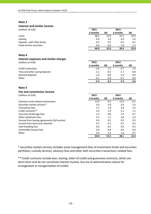# **Interest and similar income**

|  | (millions of EU |  |
|--|-----------------|--|
|  |                 |  |

| (millions of EUR)         | 2015     |      | 2014     |      |
|---------------------------|----------|------|----------|------|
|                           | 6 months | QII  | 6 months | QII  |
| Loans                     | 38.2     | 19.0 | 41.5     | 20.9 |
| Leasing                   | 6.9      | 3.4  | 6.6      | 3.4  |
| Deposits with other banks | 0.3      | 0.2  | 0.5      | 0.2  |
| Fixed income securities   | 0.6      | 0.0  | 1.8      | 1.3  |
|                           | 46.0     | 22.6 | 50.4     | 25.8 |

#### **Note 4**

# **Interest expenses and similar charges**

| (millions of EUR)              | 2015     |        | 2014     |        |
|--------------------------------|----------|--------|----------|--------|
|                                | 6 months | ΟII    | 6 months | QII    |
| Credit institutions            | $-2.6$   | $-1.2$ | $-3.7$   | $-1.9$ |
| Time and other saving deposits | $-1.1$   | $-0.5$ | $-1.7$   | $-0.8$ |
| Demand deposits                | $-1.6$   | $-0.8$ | $-1.9$   | $-0.9$ |
| Other                          | $-0.1$   | 0.0    | $-0.1$   | 0.0    |
|                                | $-5.4$   | $-2.5$ | $-7.4$   | $-3.6$ |

#### **Note 5**

#### **Fee and commission income**

(millions of EUR) **2015 2014**

|                                               | 6 months | QII  | 6 months | QII     |
|-----------------------------------------------|----------|------|----------|---------|
| Payment cards related commissions             | 11.9     | 6.2  | 11.6     | 6.1     |
| Securities market services *                  | 5.6      | 2.8  | 5.0      | 2.4     |
| <b>Transaction fees</b>                       | 2.7      | 1.4  | 2.8      | $1.5\,$ |
| Credit contracts**                            | 2.4      | 1.2  | 2.1      | 1.1     |
| Insurance brokerage fees                      | 1.5      | 0.8  | 1.3      | 0.7     |
| Other settlement fees                         | 2.2      | 1.1  | 2.0      | 1.0     |
| Income from leasing agreements (full service) | 0.4      | 0.2  | 0.5      | 0.2     |
| Income from electronic channels               | 0.7      | 0.3  | 0.7      | 0.3     |
| Cash handling fees                            | 0.4      | 0.2  | 0.5      | 0.3     |
| Commodity futures fees                        | 0.4      | 0.0  | 0.0      | 0.0     |
| Other                                         | 2.6      | 1.3  | 1.6      | 0.7     |
|                                               | 30.8     | 15.5 | 28.1     | 14.3    |

\* Securities market services includes asset management fees of investment funds and securities portfolios, custody services, advisory fees and other with securities transactions related fees.

\*\* Credit contracts include loan, leasing, letter of credit and guarantee contracts, which are short‐term and do not constitute interest income, but are of administrative nature for arrangement or reorganisation of credits.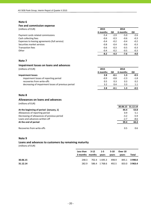#### **Fee and commission expense**

| (millions of EUR)                             | 2015     | 2014   |          |        |
|-----------------------------------------------|----------|--------|----------|--------|
|                                               | 6 months | QII    | 6 months | QII    |
| Payment cards related commissions             | $-5.4$   | $-2.9$ | $-5.0$   | $-2.6$ |
| Cash collecting fees                          | $-0.6$   | $-0.3$ | $-0.6$   | $-0.3$ |
| Expenses to leasing agreements (full service) | $-0.4$   | $-0.2$ | $-0.4$   | $-0.2$ |
| Securities market services                    | $-0.8$   | $-0.4$ | $-0.6$   | $-0.3$ |
| <b>Transaction fees</b>                       | $-0.6$   | $-0.3$ | $-0.5$   | $-0.3$ |
| Other                                         | $-0.4$   | $-0.2$ | $-0.5$   | $-0.3$ |
|                                               | $-8.2$   | $-4.3$ | $-7.6$   | $-4.0$ |

### **Note 7**

#### **Impairment losses on loans and advances**

| (millions of EUR) | 2015 | 2014 |
|-------------------|------|------|
|                   | $ -$ |      |

|                                                    | 6 months | QII    | 6 months | ΟII           |
|----------------------------------------------------|----------|--------|----------|---------------|
| <b>Impairment losses</b>                           | 2.8      | -0.1   | 1.3      | $-0.5$        |
| impairment losses of reporting period              | $-0.9$   | $-0.8$ | $-2.3$   | $-1.8$        |
| recoveries from write-offs                         | 0.5      | 0.3    | 0.3      | $0.2^{\circ}$ |
| decreasing of impairment losses of previous period | 3.2      | 0.4    | 3.3      | 1.1           |
|                                                    | 2.8      | -0.1   |          |               |

#### **Note 8**

#### **Allowances on loans and advances**

(millions of EUR)

|                                             |        | 30.06.15 31.12.14 |
|---------------------------------------------|--------|-------------------|
| At the beginning of period (January, 1)     | 44.4   | 53.8              |
| Allowances of reporting period              | 0.9    | 5.1               |
| Decreasing of allowances of previous period | $-3.2$ | $-5.9$            |
| Loans and advances written off              | $-2.7$ | -8.6              |
| At the end of period                        | 39.4   | 44.4              |
| Recoveries from write-offs                  | 0.5    | 0.6               |

#### **Note 9**

#### **Loans and advances to customers by remaining maturity**

|          | Less than 3-12<br>3 months months | $1-5$<br>vears     | 5-10<br>vears | Over 10<br>vears | Total               |
|----------|-----------------------------------|--------------------|---------------|------------------|---------------------|
| 30.06.15 | 248.3                             | 702.4 1 695.3      | 498.9         |                  | 845.1 <b>3990.0</b> |
| 31.12.14 | 282.9                             | 586.4 1768.6 492.5 |               |                  | 833.0 3963.4        |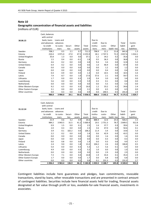# **Note 10 Geographic concentration of financial assets and liabilities**

(millions of EUR)

|                      | 988.8                       | 3 990.0               | 29.1    | 50.6   | 5 0 58.5    | 888.6            | 3 192.2 | 94.7         | 4 175.5  | 1029.7      |
|----------------------|-----------------------------|-----------------------|---------|--------|-------------|------------------|---------|--------------|----------|-------------|
| Other countries      | 0.0                         | 0.3                   | 0.0     | 0.6    | 0.9         | 0.0              | 240.5   | 0.5          | 241.0    | 2.9         |
| Other Eastern Europe | 3.1                         | 0.0                   | 0.0     | 0.0    | 3.1         | 0.0              | 6.5     | 0.0          | 6.5      | 0.0         |
| Other Western Europe | 9.2                         | 6.5                   | 0.0     | 0.3    | 16.0        | 1.2              | 33.2    | 0.2          | 34.6     | 2.4         |
| Netherlands          | 0.0                         | 0.0                   | 0.0     | 0.0    | 0.0         | 0.0              | 5.5     | 0.0          | 5.5      | 0.0         |
| Luxembourg           | 5.6                         | 0.0                   | 0.0     | 0.3    | 5.9         | 0.3              | 0.1     | 0.0          | 0.4      | 0.0         |
| Lithuania            | 1.7                         | 0.0                   | 0.0     | 0.3    | 2.0         | 0.4              | 3.0     | 0.0          | 3.4      | 0.0         |
| Latvia               | 7.9                         | 8.7                   | 0.0     | 1.0    | 17.6        | 57.6             | 2.1     | 0.0          | 59.7     | 0.5         |
| Finland              | 0.4                         | 0.9                   | 0.0     | 0.0    | 1.3         | 0.0              | 10.5    | 0.0          | 10.5     | 3.4         |
| Japan                | 0.0                         | 0.0                   | 0.0     | 0.0    | 0.0         | 0.0              | 0.4     | 0.0          | 0.4      | 0.0         |
| Canada               | 0.0                         | 0.0                   | 0.0     | 0.0    | 0.0         | 0.0              | 1.2     | 0.0          | 1.2      | 0.0         |
| <b>United States</b> | 0.4                         | 0.2                   | 0.0     | 0.0    | 0.6         | 1.0              | 46.9    | 0.0          | 47.9     | 0.0         |
| Germany              | 4.6                         | 0.2                   | 0.0     | 0.0    | 4.8         | 9.4              | 3.4     | 0.0          | 12.8     | 5.0         |
| Russia               | 1.5                         | 0.4                   | 0.0     | $-0.1$ | 1.8         | 0.5              | 36.3    | 0.0          | 36.8     | 0.1         |
| United Kingdom       | 35.8                        | 1.3                   | 0.0     | 0.0    | 37.1        | 1.2              | 34.2    | 0.2          | 35.6     | 0.0         |
| Estonia              | 210.4                       | 3 971.0               | 27.0    | 47.5   | 4 2 5 5 . 9 | 18.1             | 2 747.3 | 72.2         | 2837.6   | 1014.1      |
| Sweden               | 708.2                       | 0.5                   | 2.1     | 0.7    | 711.5       | 798.9            | 21.1    | 21.6         | 841.6    | 1.3         |
|                      | institutions                | mers                  | ties    | assets | assets      | tions            | mers    | liabili-ties | ties     | liabilities |
|                      | to credit                   | to custo-             | Securi- | Other  | Total       | institu-         | custo-  | Other        | liabili- | gent        |
| 30.06.15             | bank, loans<br>and advances | Loans and<br>advances |         |        |             | Due to<br>credit | Due to  |              | Total    | Contin-     |
|                      | with central                |                       |         |        |             |                  |         |              |          |             |
|                      | Cash, balances              |                       |         |        |             |                  |         |              |          |             |
|                      |                             |                       |         |        |             |                  |         |              |          |             |
|                      |                             |                       |         |        |             |                  |         |              |          |             |

| 31.12.14             | Cash, balances<br>with central<br>bank, loans<br>and advances<br>to credit<br>institutions | Loans and<br>advances<br>to custo-<br>mers | Securi-<br>ties | Other<br>assets | Total<br>assets | Due to<br>credit<br>institu-<br>tions | Due to<br>custo-<br>mers | Other<br>liabili-ties | Total<br>liabili-<br>ties | Contin-<br>gent<br>liabilities |
|----------------------|--------------------------------------------------------------------------------------------|--------------------------------------------|-----------------|-----------------|-----------------|---------------------------------------|--------------------------|-----------------------|---------------------------|--------------------------------|
| Sweden               | 21.9                                                                                       | 0.6                                        | 3.2             | 0.9             | 26.6            | 888.4                                 | 12.6                     | 25.5                  | 926.5                     | 1.5                            |
| Estonia              | 984.2                                                                                      | 3 9 4 3.5                                  | 31.5            | 41.2            | 5 000.4         | 19.5                                  | 2 7 5 1 . 3              | 78.7                  | 2 849.5                   | 912.8                          |
| United Kingdom       | 0.9                                                                                        | 1.5                                        | 0.0             | 0.1             | 2.5             | 1.6                                   | 37.7                     | 0.3                   | 39.6                      | 1.6                            |
| Russia               | 2.0                                                                                        | 0.3                                        | 0.0             | 0.0             | 2.3             | 3.6                                   | 47.0                     | 0.0                   | 50.6                      | 0.1                            |
| Germany              | 3.9                                                                                        | 0.1                                        | 102.2           | 0.0             | 106.2           | 11.4                                  | 3.4                      | 0.0                   | 14.8                      | 5.0                            |
| <b>United States</b> | 2.2                                                                                        | 0.2                                        | 0.0             | 0.0             | 2.4             | 0.6                                   | 42.9                     | 0.0                   | 43.5                      | 0.0                            |
| Canada               | 0.0                                                                                        | 0.0                                        | 0.0             | 0.0             | 0.0             | 0.0                                   | 1.6                      | 0.0                   | 1.6                       | 0.0                            |
| Japan                | 0.0                                                                                        | 0.0                                        | 0.0             | 0.0             | 0.0             | 0.0                                   | 0.3                      | 0.0                   | 0.3                       | 0.0                            |
| Finland              | 0.0                                                                                        | 0.8                                        | 0.0             | 0.6             | 1.4             | 0.0                                   | 9.3                      | 0.6                   | 9.9                       | 4.7                            |
| Latvia               | 2.4                                                                                        | 9.0                                        | 0.0             | 1.8             | 13.2            | 104.2                                 | 2.6                      | 0.0                   | 106.8                     | 0.5                            |
| Lithuania            | 5.0                                                                                        | 0.0                                        | 0.0             | 0.3             | 5.3             | 1.2                                   | 5.6                      | 0.1                   | 6.9                       | 0.0                            |
| Luxembourg           | 4.9                                                                                        | 0.0                                        | 0.0             | 0.3             | 5.2             | 1.0                                   | 0.0                      | 0.0                   | 1.0                       | 0.0                            |
| <b>Netherlands</b>   | 0.0                                                                                        | 0.0                                        | 0.0             | 0.0             | 0.0             | 0.0                                   | 2.9                      | 0.0                   | 2.9                       | 0.0                            |
| Other Western Europe | 7.3                                                                                        | 7.1                                        | 0.0             | 0.4             | 14.8            | 1.9                                   | 33.4                     | 0.1                   | 35.4                      | 2.9                            |
| Other Eastern Europe | 1.7                                                                                        | 0.0                                        | 0.0             | 0.0             | 1.7             | 0.0                                   | 6.8                      | 0.0                   | 6.8                       | 0.0                            |
| Other countries      | 0.0                                                                                        | 0.3                                        | 0.0             | 0.5             | 0.8             | 0.1                                   | 231.3                    | 0.5                   | 231.9                     | 2.7                            |
|                      | 1 0 3 6 . 4                                                                                | 3 963.4                                    | 136.9           | 46.1            | 5 182.8         | 1033.5                                | 3 188.7                  | 105.8                 | 4 3 2 8 .0                | 931.8                          |

Contingent liabilities include here guarantees and pledges, loan commitments, revocable transactions, stand‐by loans, other revocable transactions and are presented in contract amount of contingent liabilities. Securities include here financial assets held for trading, financial assets designated at fair value through profit or loss, available‐for‐sale financial assets, investments in associates.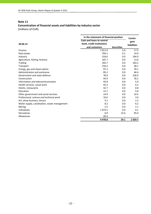# **Concentration of financial assets and liabilities by industry sector** (millions of EUR)

|                                              | In the statement of financial position | Contin-           |                    |
|----------------------------------------------|----------------------------------------|-------------------|--------------------|
|                                              | <b>Cash and loans to central</b>       |                   | gent               |
| 30.06.15                                     | bank, credit institutions              |                   | <b>liabilities</b> |
|                                              | and customers                          | <b>Securities</b> |                    |
| Finance                                      | 1 0 1 1 .0                             | 5.6               | 17.5               |
| Real estate                                  | 704.1                                  | 0.1               | 14.9               |
| Industry                                     | 318.6                                  | 0.0               | 194.0              |
| Agriculture, fishing, forestry               | 187.7                                  | 0.0               | 13.6               |
| Trading                                      | 183.7                                  | 0.0               | 164.2              |
| Transport                                    | 150.3                                  | 0.0               | 38.1               |
| Energy, gas and steam plants                 | 97.2                                   | 0.0               | 78.1               |
| Administration and assistance                | 85.2                                   | 0.0               | 66.6               |
| Government and state defence                 | 78.9                                   | 0.0               | 226.9              |
| Construction                                 | 45.9                                   | 0.0               | 78.1               |
| Information and telecommunication            | 45.8                                   | 0.8               | 5.9                |
| Health services, social work                 | 43.2                                   | 0.0               | 6.2                |
| Hotels, restaurants                          | 32.7                                   | 0.0               | 0.8                |
| Education                                    | 15.1                                   | 0.0               | 5.8                |
| Other government and social services         | 14.9                                   | 0.0               | 10.5               |
| Professional, science and technical work     | 10.6                                   | 0.0               | 3.9                |
| Art, show business, leisure                  | 9.1                                    | 0.0               | 2.2                |
| Water supply, canalisation, waste management | 8.2                                    | 0.0               | 6.2                |
| Mining                                       | 2.5                                    | 0.0               | 1.1                |
| <b>Individuals</b>                           | 1973.5                                 | 0.0               | 0.1                |
| <b>Derivatives</b>                           | 0.0                                    | 22.6              | 95.0               |
| Allowances                                   | $-39.4$                                |                   |                    |
|                                              | 4978.8                                 | 29.1              | 1 0 29.7           |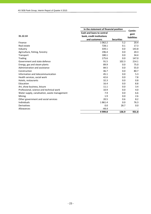|                                              | In the statement of financial position | Contin-           |                    |
|----------------------------------------------|----------------------------------------|-------------------|--------------------|
|                                              | <b>Cash and loans to central</b>       |                   | gent               |
| 31.12.14                                     | bank, credit institutions              |                   | <b>liabilities</b> |
|                                              | and customers                          | <b>Securities</b> |                    |
| Finance                                      | 1 0 6 2 . 2                            | 5.2               | 20.4               |
| Real estate                                  | 728.1                                  | 0.1               | 17.3               |
| Industry                                     | 339.1                                  | 0.0               | 143.8              |
| Agriculture, fishing, forestry               | 196.4                                  | 0.0               | 20.3               |
| Transport                                    | 180.1                                  | 0.0               | 34.4               |
| <b>Trading</b>                               | 175.6                                  | 0.0               | 147.0              |
| Government and state defence                 | 91.5                                   | 102.3             | 214.1              |
| Energy, gas and steam plants                 | 89.9                                   | 0.0               | 75.0               |
| Administration and assistance                | 84.5                                   | 0.0               | 55.0               |
| Construction                                 | 46.7                                   | 0.0               | 80.7               |
| Information and telecommunication            | 45.1                                   | 0.0               | 5.3                |
| Health services, social work                 | 42.6                                   | 0.0               | 7.8                |
| Hotels, restaurants                          | 32.3                                   | 0.0               | 0.8                |
| Education                                    | 16.4                                   | 0.0               | 8.8                |
| Art, show business, leisure                  | 11.1                                   | 0.0               | 3.4                |
| Professional, science and technical work     | 10.9                                   | 0.0               | 4.0                |
| Water supply, canalisation, waste management | 7.9                                    | 0.0               | 6.6                |
| Mining                                       | 1.9                                    | 0.0               | 2.6                |
| Other government and social services         | 20.5                                   | 0.6               | 8.2                |
| Individuals                                  | 1861.4                                 | 0.0               | 76.3               |
| Derivatives                                  | 0.0                                    | 28.7              | 0.0                |
| Allowances                                   | $-44.4$                                |                   |                    |
|                                              | 4 9 9 9.8                              | 136.9             | 931.8              |